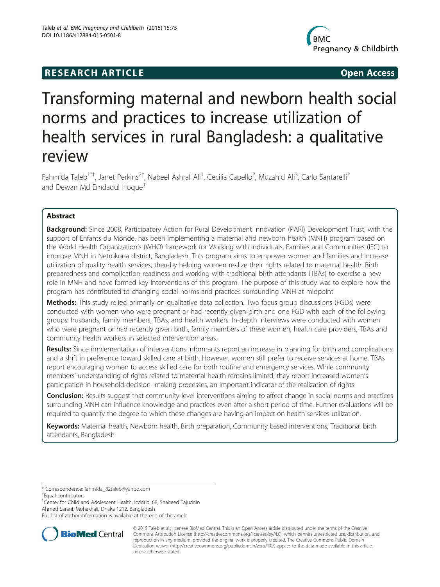## **RESEARCH ARTICLE CONSUMING A RESEARCH ARTICLE**



# Transforming maternal and newborn health social norms and practices to increase utilization of health services in rural Bangladesh: a qualitative review

Fahmida Taleb<sup>1\*†</sup>, Janet Perkins<sup>2†</sup>, Nabeel Ashraf Ali<sup>1</sup>, Cecilia Capello<sup>2</sup>, Muzahid Ali<sup>3</sup>, Carlo Santarelli<sup>2</sup> and Dewan Md Emdadul Hoque<sup>1</sup>

### Abstract

Background: Since 2008, Participatory Action for Rural Development Innovation (PARI) Development Trust, with the support of Enfants du Monde, has been implementing a maternal and newborn health (MNH) program based on the World Health Organization's (WHO) framework for Working with Individuals, Families and Communities (IFC) to improve MNH in Netrokona district, Bangladesh. This program aims to empower women and families and increase utilization of quality health services, thereby helping women realize their rights related to maternal health. Birth preparedness and complication readiness and working with traditional birth attendants (TBAs) to exercise a new role in MNH and have formed key interventions of this program. The purpose of this study was to explore how the program has contributed to changing social norms and practices surrounding MNH at midpoint.

Methods: This study relied primarily on qualitative data collection. Two focus group discussions (FGDs) were conducted with women who were pregnant or had recently given birth and one FGD with each of the following groups: husbands, family members, TBAs, and health workers. In-depth interviews were conducted with women who were pregnant or had recently given birth, family members of these women, health care providers, TBAs and community health workers in selected intervention areas.

Results: Since implementation of interventions informants report an increase in planning for birth and complications and a shift in preference toward skilled care at birth. However, women still prefer to receive services at home. TBAs report encouraging women to access skilled care for both routine and emergency services. While community members' understanding of rights related to maternal health remains limited, they report increased women's participation in household decision- making processes, an important indicator of the realization of rights.

**Conclusion:** Results suggest that community-level interventions aiming to affect change in social norms and practices surrounding MNH can influence knowledge and practices even after a short period of time. Further evaluations will be required to quantify the degree to which these changes are having an impact on health services utilization.

Keywords: Maternal health, Newborn health, Birth preparation, Community based interventions, Traditional birth attendants, Bangladesh

\* Correspondence: [fahmida\\_82taleb@yahoo.com](mailto:fahmida_82taleb@yahoo.com) †

Equal contributors

<sup>1</sup>Center for Child and Adolescent Health, icddr,b, 68, Shaheed Tajuddin Ahmed Sarani, Mohakhali, Dhaka 1212, Bangladesh

Full list of author information is available at the end of the article



© 2015 Taleb et al.; licensee BioMed Central. This is an Open Access article distributed under the terms of the Creative Commons Attribution License [\(http://creativecommons.org/licenses/by/4.0\)](http://creativecommons.org/licenses/by/4.0), which permits unrestricted use, distribution, and reproduction in any medium, provided the original work is properly credited. The Creative Commons Public Domain Dedication waiver [\(http://creativecommons.org/publicdomain/zero/1.0/](http://creativecommons.org/publicdomain/zero/1.0/)) applies to the data made available in this article, unless otherwise stated.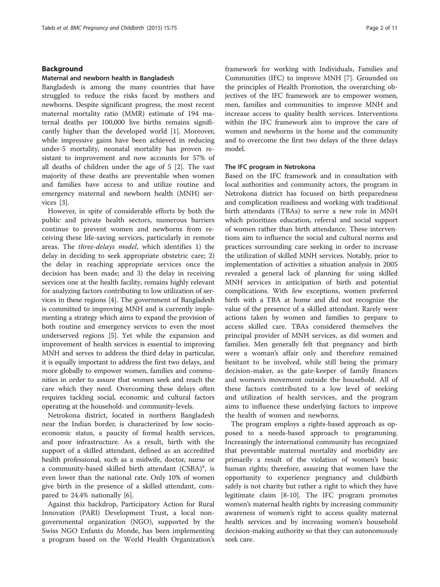#### Background

#### Maternal and newborn health in Bangladesh

Bangladesh is among the many countries that have struggled to reduce the risks faced by mothers and newborns. Despite significant progress, the most recent maternal mortality ratio (MMR) estimate of 194 maternal deaths per 100,000 live births remains significantly higher than the developed world [\[1](#page-10-0)]. Moreover, while impressive gains have been achieved in reducing under-5 mortality, neonatal mortality has proven resistant to improvement and now accounts for 57% of all deaths of children under the age of 5 [\[2](#page-10-0)]. The vast majority of these deaths are preventable when women and families have access to and utilize routine and emergency maternal and newborn health (MNH) services [\[3](#page-10-0)].

However, in spite of considerable efforts by both the public and private health sectors, numerous barriers continue to prevent women and newborns from receiving these life-saving services, particularly in remote areas. The three-delays model, which identifies 1) the delay in deciding to seek appropriate obstetric care; 2) the delay in reaching appropriate services once the decision has been made; and 3) the delay in receiving services one at the health facility, remains highly relevant for analyzing factors contributing to low utilization of services in these regions [[4\]](#page-10-0). The government of Bangladesh is committed to improving MNH and is currently implementing a strategy which aims to expand the provision of both routine and emergency services to even the most underserved regions [[5\]](#page-10-0). Yet while the expansion and improvement of health services is essential to improving MNH and serves to address the third delay in particular, it is equally important to address the first two delays, and more globally to empower women, families and communities in order to assure that women seek and reach the care which they need. Overcoming these delays often requires tackling social, economic and cultural factors operating at the household- and community-levels.

Netrokona district, located in northern Bangladesh near the Indian border, is characterized by low socioeconomic status, a paucity of formal health services, and poor infrastructure. As a result, birth with the support of a skilled attendant, defined as an accredited health professional, such as a midwife, doctor, nurse or a community-based skilled birth attendant (CSBA)<sup>a</sup>, is even lower than the national rate. Only 10% of women give birth in the presence of a skilled attendant, compared to 24.4% nationally [[6\]](#page-10-0).

Against this backdrop, Participatory Action for Rural Innovation (PARI) Development Trust, a local nongovernmental organization (NGO), supported by the Swiss NGO Enfants du Monde, has been implementing a program based on the World Health Organization's framework for working with Individuals, Families and Communities (IFC) to improve MNH [[7\]](#page-10-0). Grounded on the principles of Health Promotion, the overarching objectives of the IFC framework are to empower women, men, families and communities to improve MNH and increase access to quality health services. Interventions within the IFC framework aim to improve the care of women and newborns in the home and the community and to overcome the first two delays of the three delays model.

#### The IFC program in Netrokona

Based on the IFC framework and in consultation with local authorities and community actors, the program in Netrokona district has focused on birth preparedness and complication readiness and working with traditional birth attendants (TBAs) to serve a new role in MNH which prioritizes education, referral and social support of women rather than birth attendance. These interventions aim to influence the social and cultural norms and practices surrounding care seeking in order to increase the utilization of skilled MNH services. Notably, prior to implementation of activities a situation analysis in 2005 revealed a general lack of planning for using skilled MNH services in anticipation of birth and potential complications. With few exceptions, women preferred birth with a TBA at home and did not recognize the value of the presence of a skilled attendant. Rarely were actions taken by women and families to prepare to access skilled care. TBAs considered themselves the principal provider of MNH services, as did women and families. Men generally felt that pregnancy and birth were a woman's affair only and therefore remained hesitant to be involved, while still being the primary decision-maker, as the gate-keeper of family finances and women's movement outside the household. All of these factors contributed to a low level of seeking and utilization of health services, and the program aims to influence these underlying factors to improve the health of women and newborns.

The program employs a rights-based approach as opposed to a needs-based approach to programming. Increasingly the international community has recognized that preventable maternal mortality and morbidity are primarily a result of the violation of women's basic human rights; therefore, assuring that women have the opportunity to experience pregnancy and childbirth safely is not charity but rather a right to which they have legitimate claim [\[8](#page-10-0)-[10\]](#page-10-0). The IFC program promotes women's maternal health rights by increasing community awareness of women's right to access quality maternal health services and by increasing women's household decision-making authority so that they can autonomously seek care.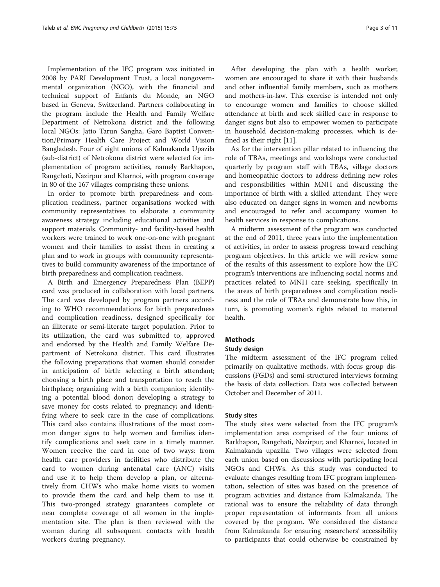Implementation of the IFC program was initiated in 2008 by PARI Development Trust, a local nongovernmental organization (NGO), with the financial and technical support of Enfants du Monde, an NGO based in Geneva, Switzerland. Partners collaborating in the program include the Health and Family Welfare Department of Netrokona district and the following local NGOs: Jatio Tarun Sangha, Garo Baptist Convention/Primary Health Care Project and World Vision Bangladesh. Four of eight unions of Kalmakanda Upazila (sub-district) of Netrokona district were selected for implementation of program activities, namely Barkhapon, Rangchati, Nazirpur and Kharnoi, with program coverage in 80 of the 167 villages comprising these unions.

In order to promote birth preparedness and complication readiness, partner organisations worked with community representatives to elaborate a community awareness strategy including educational activities and support materials. Community- and facility-based health workers were trained to work one-on-one with pregnant women and their families to assist them in creating a plan and to work in groups with community representatives to build community awareness of the importance of birth preparedness and complication readiness.

A Birth and Emergency Preparedness Plan (BEPP) card was produced in collaboration with local partners. The card was developed by program partners according to WHO recommendations for birth preparedness and complication readiness, designed specifically for an illiterate or semi-literate target population. Prior to its utilization, the card was submitted to, approved and endorsed by the Health and Family Welfare Department of Netrokona district. This card illustrates the following preparations that women should consider in anticipation of birth: selecting a birth attendant; choosing a birth place and transportation to reach the birthplace; organizing with a birth companion; identifying a potential blood donor; developing a strategy to save money for costs related to pregnancy; and identifying where to seek care in the case of complications. This card also contains illustrations of the most common danger signs to help women and families identify complications and seek care in a timely manner. Women receive the card in one of two ways: from health care providers in facilities who distribute the card to women during antenatal care (ANC) visits and use it to help them develop a plan, or alternatively from CHWs who make home visits to women to provide them the card and help them to use it. This two-pronged strategy guarantees complete or near complete coverage of all women in the implementation site. The plan is then reviewed with the woman during all subsequent contacts with health workers during pregnancy.

After developing the plan with a health worker, women are encouraged to share it with their husbands and other influential family members, such as mothers and mothers-in-law. This exercise is intended not only to encourage women and families to choose skilled attendance at birth and seek skilled care in response to danger signs but also to empower women to participate in household decision-making processes, which is defined as their right [[11\]](#page-10-0).

As for the intervention pillar related to influencing the role of TBAs, meetings and workshops were conducted quarterly by program staff with TBAs, village doctors and homeopathic doctors to address defining new roles and responsibilities within MNH and discussing the importance of birth with a skilled attendant. They were also educated on danger signs in women and newborns and encouraged to refer and accompany women to health services in response to complications.

A midterm assessment of the program was conducted at the end of 2011, three years into the implementation of activities, in order to assess progress toward reaching program objectives. In this article we will review some of the results of this assessment to explore how the IFC program's interventions are influencing social norms and practices related to MNH care seeking, specifically in the areas of birth preparedness and complication readiness and the role of TBAs and demonstrate how this, in turn, is promoting women's rights related to maternal health.

#### Methods

#### Study design

The midterm assessment of the IFC program relied primarily on qualitative methods, with focus group discussions (FGDs) and semi-structured interviews forming the basis of data collection. Data was collected between October and December of 2011.

#### Study sites

The study sites were selected from the IFC program's implementation area comprised of the four unions of Barkhapon, Rangchati, Nazirpur, and Kharnoi, located in Kalmakanda upazilla. Two villages were selected from each union based on discussions with participating local NGOs and CHWs. As this study was conducted to evaluate changes resulting from IFC program implementation, selection of sites was based on the presence of program activities and distance from Kalmakanda. The rational was to ensure the reliability of data through proper representation of informants from all unions covered by the program. We considered the distance from Kalmakanda for ensuring researchers' accessibility to participants that could otherwise be constrained by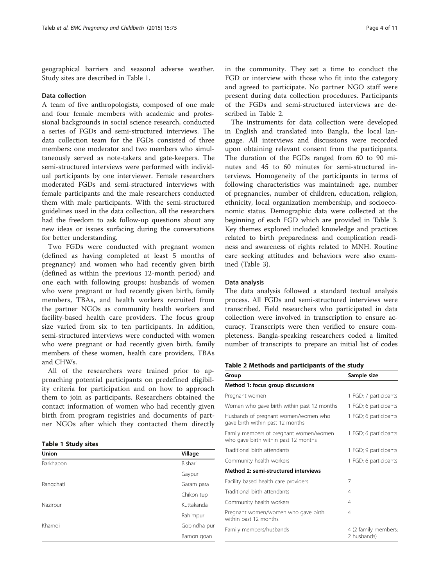geographical barriers and seasonal adverse weather. Study sites are described in Table 1.

#### Data collection

A team of five anthropologists, composed of one male and four female members with academic and professional backgrounds in social science research, conducted a series of FGDs and semi-structured interviews. The data collection team for the FGDs consisted of three members: one moderator and two members who simultaneously served as note-takers and gate-keepers. The semi-structured interviews were performed with individual participants by one interviewer. Female researchers moderated FGDs and semi-structured interviews with female participants and the male researchers conducted them with male participants. With the semi-structured guidelines used in the data collection, all the researchers had the freedom to ask follow-up questions about any new ideas or issues surfacing during the conversations for better understanding.

Two FGDs were conducted with pregnant women (defined as having completed at least 5 months of pregnancy) and women who had recently given birth (defined as within the previous 12-month period) and one each with following groups: husbands of women who were pregnant or had recently given birth, family members, TBAs, and health workers recruited from the partner NGOs as community health workers and facility-based health care providers. The focus group size varied from six to ten participants. In addition, semi-structured interviews were conducted with women who were pregnant or had recently given birth, family members of these women, health care providers, TBAs and CHWs.

All of the researchers were trained prior to approaching potential participants on predefined eligibility criteria for participation and on how to approach them to join as participants. Researchers obtained the contact information of women who had recently given birth from program registries and documents of partner NGOs after which they contacted them directly

| <b>Table 1 Study sites</b> |  |  |
|----------------------------|--|--|
|----------------------------|--|--|

| <b>Union</b> | Village        |
|--------------|----------------|
| Barkhapon    | <b>Bishari</b> |
|              | Gaypur         |
| Rangchati    | Garam para     |
|              | Chikon tup     |
| Nazirpur     | Kuttakanda     |
|              | Rahimpur       |
| Kharnoi      | Gobindha pur   |
|              | Bamon goan     |

in the community. They set a time to conduct the FGD or interview with those who fit into the category and agreed to participate. No partner NGO staff were present during data collection procedures. Participants of the FGDs and semi-structured interviews are described in Table 2.

The instruments for data collection were developed in English and translated into Bangla, the local language. All interviews and discussions were recorded upon obtaining relevant consent from the participants. The duration of the FGDs ranged from 60 to 90 minutes and 45 to 60 minutes for semi-structured interviews. Homogeneity of the participants in terms of following characteristics was maintained: age, number of pregnancies, number of children, education, religion, ethnicity, local organization membership, and socioeconomic status. Demographic data were collected at the beginning of each FGD which are provided in Table [3](#page-4-0). Key themes explored included knowledge and practices related to birth preparedness and complication readiness and awareness of rights related to MNH. Routine care seeking attitudes and behaviors were also examined (Table [3\)](#page-4-0).

#### Data analysis

The data analysis followed a standard textual analysis process. All FGDs and semi-structured interviews were transcribed. Field researchers who participated in data collection were involved in transcription to ensure accuracy. Transcripts were then verified to ensure completeness. Bangla-speaking researchers coded a limited number of transcripts to prepare an initial list of codes

| Table 2 Methods and participants of the study |  |  |
|-----------------------------------------------|--|--|
|-----------------------------------------------|--|--|

| Group                                                                          | Sample size                         |  |  |  |
|--------------------------------------------------------------------------------|-------------------------------------|--|--|--|
| Method 1: focus group discussions                                              |                                     |  |  |  |
| Pregnant women                                                                 | 1 FGD; 7 participants               |  |  |  |
| Women who gave birth within past 12 months                                     | 1 FGD; 6 participants               |  |  |  |
| Husbands of pregnant women/women who<br>gave birth within past 12 months       | 1 FGD; 6 participants               |  |  |  |
| Family members of pregnant women/women<br>who gave birth within past 12 months | 1 FGD; 6 participants               |  |  |  |
| Traditional birth attendants                                                   | 1 FGD; 9 participants               |  |  |  |
| Community health workers                                                       | 1 FGD; 6 participants               |  |  |  |
| Method 2: semi-structured interviews                                           |                                     |  |  |  |
| Facility based health care providers                                           | 7                                   |  |  |  |
| Traditional birth attendants                                                   | 4                                   |  |  |  |
| Community health workers                                                       | 4                                   |  |  |  |
| Pregnant women/women who gave birth<br>within past 12 months                   | 4                                   |  |  |  |
| Family members/husbands                                                        | 4 (2 family members;<br>2 husbands) |  |  |  |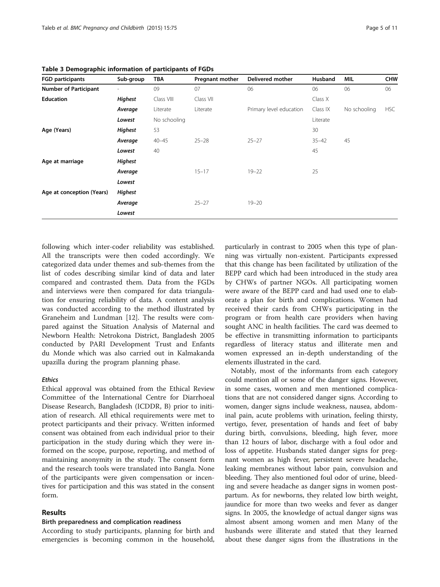| <b>FGD participants</b>      | Sub-group      | <b>TBA</b>   | Pregnant mother | Delivered mother        | <b>Husband</b> | MIL          | <b>CHW</b> |
|------------------------------|----------------|--------------|-----------------|-------------------------|----------------|--------------|------------|
| <b>Number of Participant</b> | ٠              | 09           | 07              | 06                      | 06             | 06           | 06         |
| <b>Education</b>             | Highest        | Class VIII   | Class VII       |                         | Class X        |              |            |
|                              | Average        | Literate     | Literate        | Primary level education | Class IX       | No schooling | <b>HSC</b> |
|                              | Lowest         | No schooling |                 |                         | Literate       |              |            |
| Age (Years)                  | <b>Highest</b> | 53           |                 |                         | 30             |              |            |
|                              | Average        | $40 - 45$    | $25 - 28$       | $25 - 27$               | $35 - 42$      | 45           |            |
|                              | Lowest         | 40           |                 |                         | 45             |              |            |
| Age at marriage              | <b>Highest</b> |              |                 |                         |                |              |            |
|                              | Average        |              | $15 - 17$       | $19 - 22$               | 25             |              |            |
|                              | Lowest         |              |                 |                         |                |              |            |
| Age at conception (Years)    | Highest        |              |                 |                         |                |              |            |
|                              | Average        |              | $25 - 27$       | $19 - 20$               |                |              |            |
|                              | Lowest         |              |                 |                         |                |              |            |

<span id="page-4-0"></span>Table 3 Demographic information of participants of FGDs

following which inter-coder reliability was established. All the transcripts were then coded accordingly. We categorized data under themes and sub-themes from the list of codes describing similar kind of data and later compared and contrasted them. Data from the FGDs and interviews were then compared for data triangulation for ensuring reliability of data. A content analysis was conducted according to the method illustrated by Graneheim and Lundman [[12](#page-10-0)]. The results were compared against the Situation Analysis of Maternal and Newborn Health: Netrokona District, Bangladesh 2005 conducted by PARI Development Trust and Enfants du Monde which was also carried out in Kalmakanda upazilla during the program planning phase.

#### **Ethics**

Ethical approval was obtained from the Ethical Review Committee of the International Centre for Diarrhoeal Disease Research, Bangladesh (ICDDR, B) prior to initiation of research. All ethical requirements were met to protect participants and their privacy. Written informed consent was obtained from each individual prior to their participation in the study during which they were informed on the scope, purpose, reporting, and method of maintaining anonymity in the study. The consent form and the research tools were translated into Bangla. None of the participants were given compensation or incentives for participation and this was stated in the consent form.

#### Results

#### Birth preparedness and complication readiness

According to study participants, planning for birth and emergencies is becoming common in the household,

particularly in contrast to 2005 when this type of planning was virtually non-existent. Participants expressed that this change has been facilitated by utilization of the BEPP card which had been introduced in the study area by CHWs of partner NGOs. All participating women were aware of the BEPP card and had used one to elaborate a plan for birth and complications. Women had received their cards from CHWs participating in the program or from health care providers when having sought ANC in health facilities. The card was deemed to be effective in transmitting information to participants regardless of literacy status and illiterate men and women expressed an in-depth understanding of the elements illustrated in the card.

Notably, most of the informants from each category could mention all or some of the danger signs. However, in some cases, women and men mentioned complications that are not considered danger signs. According to women, danger signs include weakness, nausea, abdominal pain, acute problems with urination, feeling thirsty, vertigo, fever, presentation of hands and feet of baby during birth, convulsions, bleeding, high fever, more than 12 hours of labor, discharge with a foul odor and loss of appetite. Husbands stated danger signs for pregnant women as high fever, persistent severe headache, leaking membranes without labor pain, convulsion and bleeding. They also mentioned foul odor of urine, bleeding and severe headache as danger signs in women postpartum. As for newborns, they related low birth weight, jaundice for more than two weeks and fever as danger signs. In 2005, the knowledge of actual danger signs was almost absent among women and men Many of the husbands were illiterate and stated that they learned about these danger signs from the illustrations in the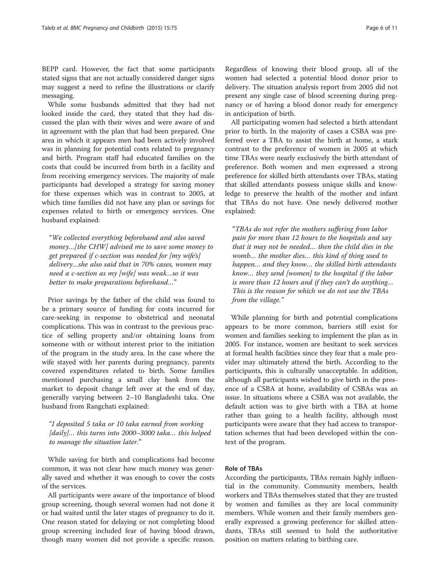BEPP card. However, the fact that some participants stated signs that are not actually considered danger signs may suggest a need to refine the illustrations or clarify messaging.

While some husbands admitted that they had not looked inside the card, they stated that they had discussed the plan with their wives and were aware of and in agreement with the plan that had been prepared. One area in which it appears men had been actively involved was in planning for potential costs related to pregnancy and birth. Program staff had educated families on the costs that could be incurred from birth in a facility and from receiving emergency services. The majority of male participants had developed a strategy for saving money for these expenses which was in contrast to 2005, at which time families did not have any plan or savings for expenses related to birth or emergency services. One husband explained:

"We collected everything beforehand and also saved money…[the CHW] advised me to save some money to get prepared if c-section was needed for [my wife's] delivery…she also said that in 70% cases, women may need a c-section as my [wife] was weak…so it was better to make preparations beforehand…"

Prior savings by the father of the child was found to be a primary source of funding for costs incurred for care-seeking in response to obstetrical and neonatal complications. This was in contrast to the previous practice of selling property and/or obtaining loans from someone with or without interest prior to the initiation of the program in the study area. In the case where the wife stayed with her parents during pregnancy, parents covered expenditures related to birth. Some families mentioned purchasing a small clay bank from the market to deposit change left over at the end of day, generally varying between 2–10 Bangladeshi taka. One husband from Rangchati explained:

"I deposited 5 taka or 10 taka earned from working [daily]… this turns into 2000–3000 taka… this helped to manage the situation later."

While saving for birth and complications had become common, it was not clear how much money was generally saved and whether it was enough to cover the costs of the services.

All participants were aware of the importance of blood group screening, though several women had not done it or had waited until the later stages of pregnancy to do it. One reason stated for delaying or not completing blood group screening included fear of having blood drawn, though many women did not provide a specific reason. Regardless of knowing their blood group, all of the women had selected a potential blood donor prior to delivery. The situation analysis report from 2005 did not present any single case of blood screening during pregnancy or of having a blood donor ready for emergency in anticipation of birth.

All participating women had selected a birth attendant prior to birth. In the majority of cases a CSBA was preferred over a TBA to assist the birth at home, a stark contrast to the preference of women in 2005 at which time TBAs were nearly exclusively the birth attendant of preference. Both women and men expressed a strong preference for skilled birth attendants over TBAs, stating that skilled attendants possess unique skills and knowledge to preserve the health of the mother and infant that TBAs do not have. One newly delivered mother explained:

"TBAs do not refer the mothers suffering from labor pain for more than 12 hours to the hospitals and say that it may not be needed… then the child dies in the womb… the mother dies… this kind of thing used to happen… and they know… the skilled birth attendants know… they send [women] to the hospital if the labor is more than 12 hours and if they can't do anything… This is the reason for which we do not use the TBAs from the village."

While planning for birth and potential complications appears to be more common, barriers still exist for women and families seeking to implement the plan as in 2005. For instance, women are hesitant to seek services at formal health facilities since they fear that a male provider may ultimately attend the birth. According to the participants, this is culturally unacceptable. In addition, although all participants wished to give birth in the presence of a CSBA at home, availability of CSBAs was an issue. In situations where a CSBA was not available, the default action was to give birth with a TBA at home rather than going to a health facility, although most participants were aware that they had access to transportation schemes that had been developed within the context of the program.

#### Role of TBAs

According the participants, TBAs remain highly influential in the community. Community members, health workers and TBAs themselves stated that they are trusted by women and families as they are local community members. While women and their family members generally expressed a growing preference for skilled attendants, TBAs still seemed to hold the authoritative position on matters relating to birthing care.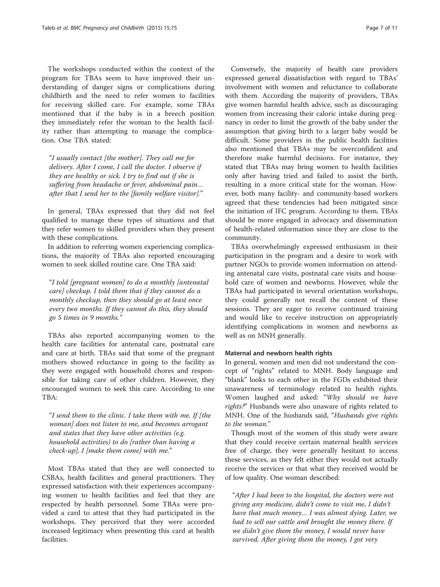The workshops conducted within the context of the program for TBAs seem to have improved their understanding of danger signs or complications during childbirth and the need to refer women to facilities for receiving skilled care. For example, some TBAs mentioned that if the baby is in a breech position they immediately refer the woman to the health facility rather than attempting to manage the complication. One TBA stated:

"I usually contact [the mother]. They call me for delivery. After I come, I call the doctor. I observe if they are healthy or sick. I try to find out if she is suffering from headache or fever, abdominal pain… after that I send her to the [family welfare visitor]."

In general, TBAs expressed that they did not feel qualified to manage these types of situations and that they refer women to skilled providers when they present with these complications.

In addition to referring women experiencing complications, the majority of TBAs also reported encouraging women to seek skilled routine care. One TBA said:

"I told [pregnant women] to do a monthly [antenatal care] checkup. I told them that if they cannot do a monthly checkup, then they should go at least once every two months. If they cannot do this, they should go 5 times in 9 months."

TBAs also reported accompanying women to the health care facilities for antenatal care, postnatal care and care at birth. TBAs said that some of the pregnant mothers showed reluctance in going to the facility as they were engaged with household chores and responsible for taking care of other children. However, they encouraged women to seek this care. According to one TBA:

"I send them to the clinic. I take them with me. If [the woman] does not listen to me, and becomes arrogant and states that they have other activities (e.g. household activities) to do [rather than having a  $check-up$ , I [make them come] with me."

Most TBAs stated that they are well connected to CSBAs, health facilities and general practitioners. They expressed satisfaction with their experiences accompanying women to health facilities and feel that they are respected by health personnel. Some TBAs were provided a card to attest that they had participated in the workshops. They perceived that they were accorded increased legitimacy when presenting this card at health facilities.

Conversely, the majority of health care providers expressed general dissatisfaction with regard to TBAs' involvement with women and reluctance to collaborate with them. According the majority of providers, TBAs give women harmful health advice, such as discouraging women from increasing their caloric intake during pregnancy in order to limit the growth of the baby under the assumption that giving birth to a larger baby would be difficult. Some providers in the public health facilities also mentioned that TBAs may be overconfident and therefore make harmful decisions. For instance, they stated that TBAs may bring women to health facilities only after having tried and failed to assist the birth, resulting in a more critical state for the woman. However, both many facility- and community-based workers agreed that these tendencies had been mitigated since the initiation of IFC program. According to them, TBAs should be more engaged in advocacy and dissemination of health-related information since they are close to the community.

TBAs overwhelmingly expressed enthusiasm in their participation in the program and a desire to work with partner NGOs to provide women information on attending antenatal care visits, postnatal care visits and household care of women and newborns. However, while the TBAs had participated in several orientation workshops, they could generally not recall the content of these sessions. They are eager to receive continued training and would like to receive instruction on appropriately identifying complications in women and newborns as well as on MNH generally.

#### Maternal and newborn health rights

In general, women and men did not understand the concept of "rights" related to MNH. Body language and "blank" looks to each other in the FGDs exhibited their unawareness of terminology related to health rights. Women laughed and asked: "Why should we have rights?" Husbands were also unaware of rights related to MNH. One of the husbands said, "Husbands give rights to the woman."

Though most of the women of this study were aware that they could receive certain maternal health services free of charge, they were generally hesitant to access these services, as they felt either they would not actually receive the services or that what they received would be of low quality. One woman described:

"After I had been to the hospital, the doctors were not giving any medicine, didn't come to visit me, I didn't have that much money… I was almost dying. Later, we had to sell our cattle and brought the money there. If we didn't give them the money, I would never have survived. After giving them the money, I got very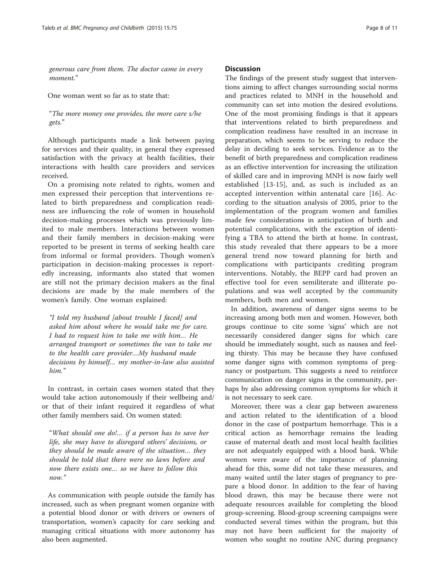generous care from them. The doctor came in every moment."

One woman went so far as to state that:

"The more money one provides, the more care s/he gets."

Although participants made a link between paying for services and their quality, in general they expressed satisfaction with the privacy at health facilities, their interactions with health care providers and services received.

On a promising note related to rights, women and men expressed their perception that interventions related to birth preparedness and complication readiness are influencing the role of women in household decision-making processes which was previously limited to male members. Interactions between women and their family members in decision-making were reported to be present in terms of seeking health care from informal or formal providers. Though women's participation in decision-making processes is reportedly increasing, informants also stated that women are still not the primary decision makers as the final decisions are made by the male members of the women's family. One woman explained:

"I told my husband [about trouble I faced] and asked him about where he would take me for care. I had to request him to take me with him… He arranged transport or sometimes the van to take me to the health care provider…My husband made decisions by himself… my mother-in-law also assisted him."

In contrast, in certain cases women stated that they would take action autonomously if their wellbeing and/ or that of their infant required it regardless of what other family members said. On women stated:

"What should one do!… if a person has to save her life, she may have to disregard others' decisions, or they should be made aware of the situation… they should be told that there were no laws before and now there exists one… so we have to follow this now."

As communication with people outside the family has increased, such as when pregnant women organize with a potential blood donor or with drivers or owners of transportation, women's capacity for care seeking and managing critical situations with more autonomy has also been augmented.

#### **Discussion**

The findings of the present study suggest that interventions aiming to affect changes surrounding social norms and practices related to MNH in the household and community can set into motion the desired evolutions. One of the most promising findings is that it appears that interventions related to birth preparedness and complication readiness have resulted in an increase in preparation, which seems to be serving to reduce the delay in deciding to seek services. Evidence as to the benefit of birth preparedness and complication readiness as an effective intervention for increasing the utilization of skilled care and in improving MNH is now fairly well established [[13-15\]](#page-10-0), and, as such is included as an accepted intervention within antenatal care [[16](#page-10-0)]. According to the situation analysis of 2005, prior to the implementation of the program women and families made few considerations in anticipation of birth and potential complications, with the exception of identifying a TBA to attend the birth at home. In contrast, this study revealed that there appears to be a more general trend now toward planning for birth and complications with participants crediting program interventions. Notably, the BEPP card had proven an effective tool for even semiliterate and illiterate populations and was well accepted by the community members, both men and women.

In addition, awareness of danger signs seems to be increasing among both men and women. However, both groups continue to cite some 'signs' which are not necessarily considered danger signs for which care should be immediately sought, such as nausea and feeling thirsty. This may be because they have confused some danger signs with common symptoms of pregnancy or postpartum. This suggests a need to reinforce communication on danger signs in the community, perhaps by also addressing common symptoms for which it is not necessary to seek care.

Moreover, there was a clear gap between awareness and action related to the identification of a blood donor in the case of postpartum hemorrhage. This is a critical action as hemorrhage remains the leading cause of maternal death and most local health facilities are not adequately equipped with a blood bank. While women were aware of the importance of planning ahead for this, some did not take these measures, and many waited until the later stages of pregnancy to prepare a blood donor. In addition to the fear of having blood drawn, this may be because there were not adequate resources available for completing the blood group-screening. Blood-group screening campaigns were conducted several times within the program, but this may not have been sufficient for the majority of women who sought no routine ANC during pregnancy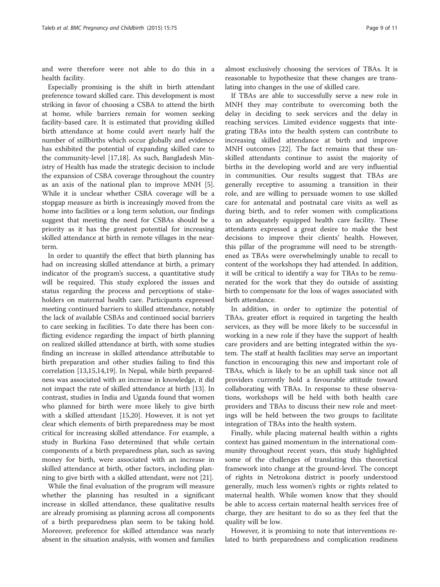and were therefore were not able to do this in a health facility.

Especially promising is the shift in birth attendant preference toward skilled care. This development is most striking in favor of choosing a CSBA to attend the birth at home, while barriers remain for women seeking facility-based care. It is estimated that providing skilled birth attendance at home could avert nearly half the number of stillbirths which occur globally and evidence has exhibited the potential of expanding skilled care to the community-level [\[17,18](#page-10-0)]. As such, Bangladesh Ministry of Health has made the strategic decision to include the expansion of CSBA coverage throughout the country as an axis of the national plan to improve MNH [\[5](#page-10-0)]. While it is unclear whether CSBA coverage will be a stopgap measure as birth is increasingly moved from the home into facilities or a long term solution, our findings suggest that meeting the need for CSBAs should be a priority as it has the greatest potential for increasing skilled attendance at birth in remote villages in the nearterm.

In order to quantify the effect that birth planning has had on increasing skilled attendance at birth, a primary indicator of the program's success, a quantitative study will be required. This study explored the issues and status regarding the process and perceptions of stakeholders on maternal health care. Participants expressed meeting continued barriers to skilled attendance, notably the lack of available CSBAs and continued social barriers to care seeking in facilities. To date there has been conflicting evidence regarding the impact of birth planning on realized skilled attendance at birth, with some studies finding an increase in skilled attendance attributable to birth preparation and other studies failing to find this correlation [\[13,15,14,19](#page-10-0)]. In Nepal, while birth preparedness was associated with an increase in knowledge, it did not impact the rate of skilled attendance at birth [[13](#page-10-0)]. In contrast, studies in India and Uganda found that women who planned for birth were more likely to give birth with a skilled attendant [\[15,20\]](#page-10-0). However, it is not yet clear which elements of birth preparedness may be most critical for increasing skilled attendance. For example, a study in Burkina Faso determined that while certain components of a birth preparedness plan, such as saving money for birth, were associated with an increase in skilled attendance at birth, other factors, including planning to give birth with a skilled attendant, were not [\[21\]](#page-10-0).

While the final evaluation of the program will measure whether the planning has resulted in a significant increase in skilled attendance, these qualitative results are already promising as planning across all components of a birth preparedness plan seem to be taking hold. Moreover, preference for skilled attendance was nearly absent in the situation analysis, with women and families

almost exclusively choosing the services of TBAs. It is reasonable to hypothesize that these changes are translating into changes in the use of skilled care.

If TBAs are able to successfully serve a new role in MNH they may contribute to overcoming both the delay in deciding to seek services and the delay in reaching services. Limited evidence suggests that integrating TBAs into the health system can contribute to increasing skilled attendance at birth and improve MNH outcomes [[22\]](#page-10-0). The fact remains that these unskilled attendants continue to assist the majority of births in the developing world and are very influential in communities. Our results suggest that TBAs are generally receptive to assuming a transition in their role, and are willing to persuade women to use skilled care for antenatal and postnatal care visits as well as during birth, and to refer women with complications to an adequately equipped health care facility. These attendants expressed a great desire to make the best decisions to improve their clients' health. However, this pillar of the programme will need to be strengthened as TBAs were overwhelmingly unable to recall to content of the workshops they had attended. In addition, it will be critical to identify a way for TBAs to be remunerated for the work that they do outside of assisting birth to compensate for the loss of wages associated with birth attendance.

In addition, in order to optimize the potential of TBAs, greater effort is required in targeting the health services, as they will be more likely to be successful in working in a new role if they have the support of health care providers and are betting integrated within the system. The staff at health facilities may serve an important function in encouraging this new and important role of TBAs, which is likely to be an uphill task since not all providers currently hold a favourable attitude toward collaborating with TBAs. In response to these observations, workshops will be held with both health care providers and TBAs to discuss their new role and meetings will be held between the two groups to facilitate integration of TBAs into the health system.

Finally, while placing maternal health within a rights context has gained momentum in the international community throughout recent years, this study highlighted some of the challenges of translating this theoretical framework into change at the ground-level. The concept of rights in Netrokona district is poorly understood generally, much less women's rights or rights related to maternal health. While women know that they should be able to access certain maternal health services free of charge, they are hesitant to do so as they feel that the quality will be low.

However, it is promising to note that interventions related to birth preparedness and complication readiness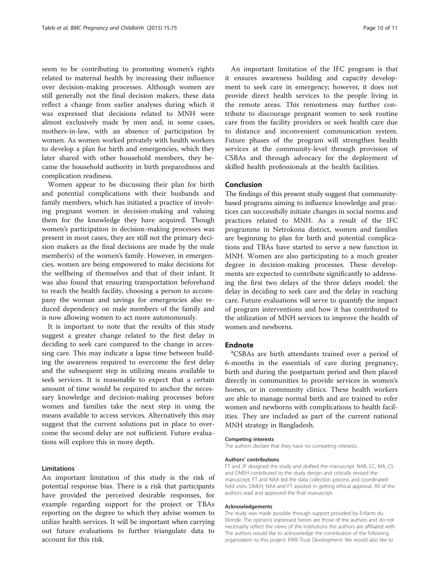seem to be contributing to promoting women's rights related to maternal health by increasing their influence over decision-making processes. Although women are still generally not the final decision makers, these data reflect a change from earlier analyses during which it was expressed that decisions related to MNH were almost exclusively made by men and, in some cases, mothers-in-law, with an absence of participation by women. As women worked privately with health workers to develop a plan for birth and emergencies, which they later shared with other household members, they became the household authority in birth preparedness and complication readiness.

Women appear to be discussing their plan for birth and potential complications with their husbands and family members, which has initiated a practice of involving pregnant women in decision-making and valuing them for the knowledge they have acquired. Though women's participation in decision-making processes was present in most cases, they are still not the primary decision makers as the final decisions are made by the male member(s) of the women's family. However, in emergencies, women are being empowered to make decisions for the wellbeing of themselves and that of their infant. It was also found that ensuring transportation beforehand to reach the health facility, choosing a person to accompany the woman and savings for emergencies also reduced dependency on male members of the family and is now allowing women to act more autonomously.

It is important to note that the results of this study suggest a greater change related to the first delay in deciding to seek care compared to the change in accessing care. This may indicate a lapse time between building the awareness required to overcome the first delay and the subsequent step in utilizing means available to seek services. It is reasonable to expect that a certain amount of time would be required to anchor the necessary knowledge and decision-making processes before women and families take the next step in using the means available to access services. Alternatively this may suggest that the current solutions put in place to overcome the second delay are not sufficient. Future evaluations will explore this in more depth.

#### Limitations

An important limitation of this study is the risk of potential response bias. There is a risk that participants have provided the perceived desirable responses, for example regarding support for the project or TBAs reporting on the degree to which they advise women to utilize health services. It will be important when carrying out future evaluations to further triangulate data to account for this risk.

An important limitation of the IFC program is that it ensures awareness building and capacity development to seek care in emergency; however, it does not provide direct health services to the people living in the remote areas. This remoteness may further contribute to discourage pregnant women to seek routine care from the facility providers or seek health care due to distance and inconvenient communication system. Future phases of the program will strengthen health services at the community-level through provision of CSBAs and through advocacy for the deployment of skilled health professionals at the health facilities.

#### Conclusion

The findings of this present study suggest that communitybased programs aiming to influence knowledge and practices can successfully initiate changes in social norms and practices related to MNH. As a result of the IFC programme in Netrokona district, women and families are beginning to plan for birth and potential complications and TBAs have started to serve a new function in MNH. Women are also participating to a much greater degree in decision-making processes. These developments are expected to contribute significantly to addressing the first two delays of the three delays model: the delay in deciding to seek care and the delay in reaching care. Future evaluations will serve to quantify the impact of program interventions and how it has contributed to the utilization of MNH services to improve the health of women and newborns.

#### **Endnote**

CSBAs are birth attendants trained over a period of 6-months in the essentials of care during pregnancy, birth and during the postpartum period and then placed directly in communities to provide services in women's homes, or in community clinics. These health workers are able to manage normal birth and are trained to refer women and newborns with complications to health facilities. They are included as part of the current national MNH strategy in Bangladesh.

#### Competing interests

The authors declare that they have no competing interests.

#### Authors' contributions

FT and JP designed the study and drafted the manuscript. NAB, CC, MA, CS and DMEH contributed to the study design and critically revised the manuscript. FT and NAA led the data collection process and coordinated field visits. DMEH, NAA and FT assisted in getting ethical approval. All of the authors read and approved the final manuscript.

#### Acknowledgements

The study was made possible through support provided by Enfants du Monde. The opinions expressed herein are those of the authors and do not necessarily reflect the views of the institutions the authors are affiliated with. The authors would like to acknowledge the contribution of the following organization to this project: PARI Trust Development. We would also like to